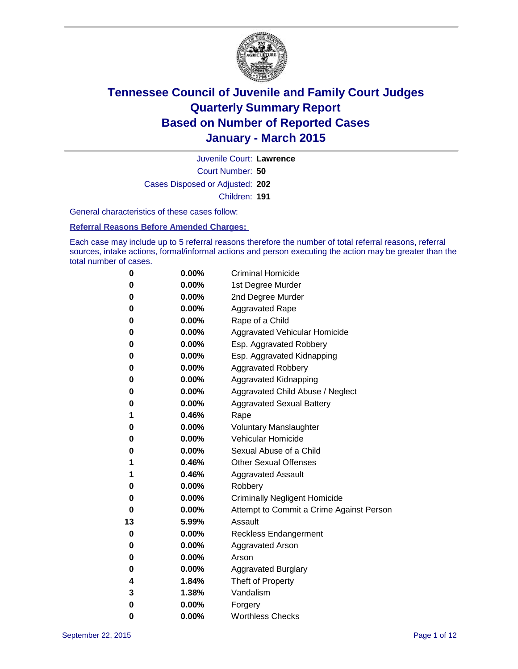

Court Number: **50** Juvenile Court: **Lawrence** Cases Disposed or Adjusted: **202** Children: **191**

General characteristics of these cases follow:

**Referral Reasons Before Amended Charges:** 

Each case may include up to 5 referral reasons therefore the number of total referral reasons, referral sources, intake actions, formal/informal actions and person executing the action may be greater than the total number of cases.

| 0  | 0.00%    | <b>Criminal Homicide</b>                 |
|----|----------|------------------------------------------|
| 0  | 0.00%    | 1st Degree Murder                        |
| 0  | 0.00%    | 2nd Degree Murder                        |
| 0  | 0.00%    | <b>Aggravated Rape</b>                   |
| 0  | 0.00%    | Rape of a Child                          |
| 0  | 0.00%    | Aggravated Vehicular Homicide            |
| 0  | 0.00%    | Esp. Aggravated Robbery                  |
| 0  | 0.00%    | Esp. Aggravated Kidnapping               |
| 0  | 0.00%    | <b>Aggravated Robbery</b>                |
| 0  | 0.00%    | <b>Aggravated Kidnapping</b>             |
| 0  | 0.00%    | Aggravated Child Abuse / Neglect         |
| 0  | 0.00%    | <b>Aggravated Sexual Battery</b>         |
| 1  | 0.46%    | Rape                                     |
| 0  | $0.00\%$ | <b>Voluntary Manslaughter</b>            |
| 0  | 0.00%    | <b>Vehicular Homicide</b>                |
| 0  | 0.00%    | Sexual Abuse of a Child                  |
| 1  | 0.46%    | <b>Other Sexual Offenses</b>             |
| 1  | 0.46%    | <b>Aggravated Assault</b>                |
| 0  | 0.00%    | Robbery                                  |
| 0  | 0.00%    | <b>Criminally Negligent Homicide</b>     |
| 0  | 0.00%    | Attempt to Commit a Crime Against Person |
| 13 | 5.99%    | Assault                                  |
| 0  | 0.00%    | <b>Reckless Endangerment</b>             |
| 0  | $0.00\%$ | <b>Aggravated Arson</b>                  |
| 0  | 0.00%    | Arson                                    |
| 0  | 0.00%    | <b>Aggravated Burglary</b>               |
| 4  | 1.84%    | Theft of Property                        |
| 3  | 1.38%    | Vandalism                                |
| 0  | 0.00%    | Forgery                                  |
| 0  | 0.00%    | <b>Worthless Checks</b>                  |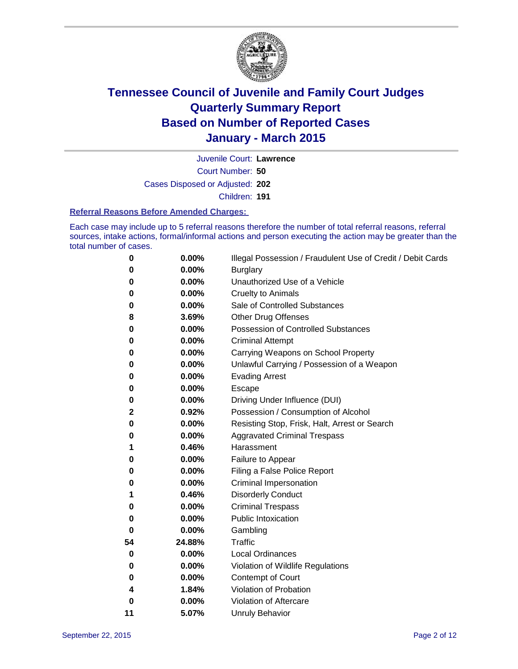

Court Number: **50** Juvenile Court: **Lawrence** Cases Disposed or Adjusted: **202** Children: **191**

#### **Referral Reasons Before Amended Charges:**

Each case may include up to 5 referral reasons therefore the number of total referral reasons, referral sources, intake actions, formal/informal actions and person executing the action may be greater than the total number of cases.

| 0  | $0.00\%$ | Illegal Possession / Fraudulent Use of Credit / Debit Cards |
|----|----------|-------------------------------------------------------------|
| 0  | 0.00%    | <b>Burglary</b>                                             |
| 0  | 0.00%    | Unauthorized Use of a Vehicle                               |
| 0  | 0.00%    | <b>Cruelty to Animals</b>                                   |
| 0  | 0.00%    | Sale of Controlled Substances                               |
| 8  | 3.69%    | <b>Other Drug Offenses</b>                                  |
| 0  | $0.00\%$ | Possession of Controlled Substances                         |
| 0  | 0.00%    | <b>Criminal Attempt</b>                                     |
| 0  | 0.00%    | Carrying Weapons on School Property                         |
| 0  | 0.00%    | Unlawful Carrying / Possession of a Weapon                  |
| 0  | 0.00%    | <b>Evading Arrest</b>                                       |
| 0  | 0.00%    | Escape                                                      |
| 0  | 0.00%    | Driving Under Influence (DUI)                               |
| 2  | 0.92%    | Possession / Consumption of Alcohol                         |
| 0  | 0.00%    | Resisting Stop, Frisk, Halt, Arrest or Search               |
| 0  | 0.00%    | <b>Aggravated Criminal Trespass</b>                         |
| 1  | 0.46%    | Harassment                                                  |
| 0  | 0.00%    | Failure to Appear                                           |
| 0  | 0.00%    | Filing a False Police Report                                |
| 0  | 0.00%    | Criminal Impersonation                                      |
| 1  | 0.46%    | <b>Disorderly Conduct</b>                                   |
| 0  | 0.00%    | <b>Criminal Trespass</b>                                    |
| 0  | $0.00\%$ | <b>Public Intoxication</b>                                  |
| 0  | 0.00%    | Gambling                                                    |
| 54 | 24.88%   | Traffic                                                     |
| 0  | 0.00%    | <b>Local Ordinances</b>                                     |
| 0  | 0.00%    | Violation of Wildlife Regulations                           |
| 0  | 0.00%    | Contempt of Court                                           |
| 4  | 1.84%    | Violation of Probation                                      |
| 0  | 0.00%    | Violation of Aftercare                                      |
| 11 | 5.07%    | <b>Unruly Behavior</b>                                      |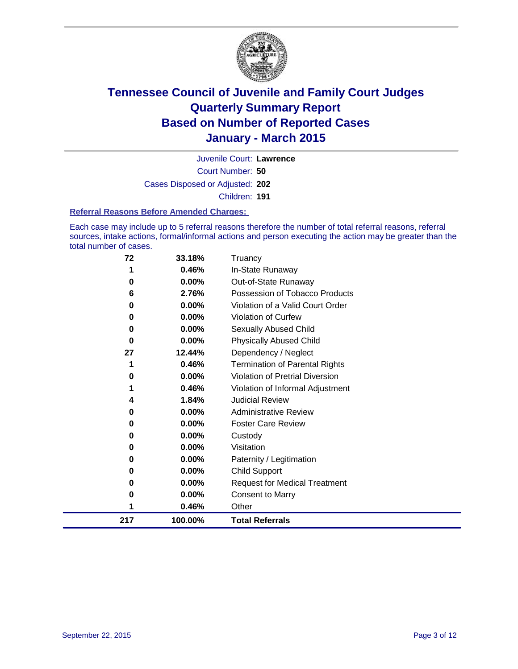

Court Number: **50** Juvenile Court: **Lawrence** Cases Disposed or Adjusted: **202** Children: **191**

#### **Referral Reasons Before Amended Charges:**

Each case may include up to 5 referral reasons therefore the number of total referral reasons, referral sources, intake actions, formal/informal actions and person executing the action may be greater than the total number of cases.

| 72  | 33.18%  | Truancy                                |
|-----|---------|----------------------------------------|
| 1   | 0.46%   | In-State Runaway                       |
| 0   | 0.00%   | Out-of-State Runaway                   |
| 6   | 2.76%   | Possession of Tobacco Products         |
| 0   | 0.00%   | Violation of a Valid Court Order       |
| 0   | 0.00%   | <b>Violation of Curfew</b>             |
| 0   | 0.00%   | Sexually Abused Child                  |
| 0   | 0.00%   | <b>Physically Abused Child</b>         |
| 27  | 12.44%  | Dependency / Neglect                   |
| 1   | 0.46%   | <b>Termination of Parental Rights</b>  |
| 0   | 0.00%   | <b>Violation of Pretrial Diversion</b> |
| 1   | 0.46%   | Violation of Informal Adjustment       |
| 4   | 1.84%   | <b>Judicial Review</b>                 |
| 0   | 0.00%   | <b>Administrative Review</b>           |
| 0   | 0.00%   | <b>Foster Care Review</b>              |
| 0   | 0.00%   | Custody                                |
| 0   | 0.00%   | Visitation                             |
| 0   | 0.00%   | Paternity / Legitimation               |
| 0   | 0.00%   | Child Support                          |
| 0   | 0.00%   | <b>Request for Medical Treatment</b>   |
| 0   | 0.00%   | <b>Consent to Marry</b>                |
| 1   | 0.46%   | Other                                  |
| 217 | 100.00% | <b>Total Referrals</b>                 |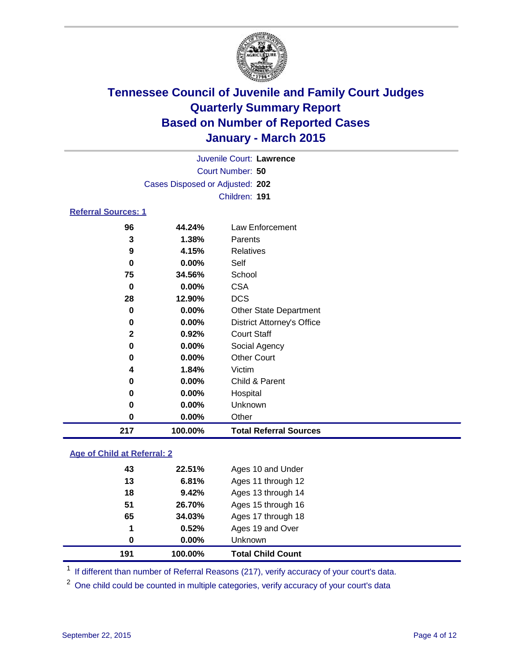

| Juvenile Court: Lawrence        |  |
|---------------------------------|--|
| Court Number: 50                |  |
| Cases Disposed or Adjusted: 202 |  |
| Children: 191                   |  |
| <b>Referral Sources: 1</b>      |  |

| 217 | 100.00%  | <b>Total Referral Sources</b>     |
|-----|----------|-----------------------------------|
| 0   | 0.00%    | Other                             |
| 0   | 0.00%    | Unknown                           |
| 0   | $0.00\%$ | Hospital                          |
| 0   | 0.00%    | Child & Parent                    |
| 4   | 1.84%    | Victim                            |
| 0   | $0.00\%$ | <b>Other Court</b>                |
| 0   | $0.00\%$ | Social Agency                     |
| 2   | 0.92%    | <b>Court Staff</b>                |
| 0   | 0.00%    | <b>District Attorney's Office</b> |
| 0   | $0.00\%$ | <b>Other State Department</b>     |
| 28  | 12.90%   | <b>DCS</b>                        |
| 0   | 0.00%    | <b>CSA</b>                        |
| 75  | 34.56%   | School                            |
| 0   | $0.00\%$ | Self                              |
| 9   | 4.15%    | Relatives                         |
| 3   | 1.38%    | Parents                           |
| 96  | 44.24%   | Law Enforcement                   |

### **Age of Child at Referral: 2**

| 191 | 100.00%  | <b>Total Child Count</b> |
|-----|----------|--------------------------|
| 0   | $0.00\%$ | Unknown                  |
| 1   | 0.52%    | Ages 19 and Over         |
| 65  | 34.03%   | Ages 17 through 18       |
| 51  | 26.70%   | Ages 15 through 16       |
| 18  | 9.42%    | Ages 13 through 14       |
| 13  | 6.81%    | Ages 11 through 12       |
| 43  | 22.51%   | Ages 10 and Under        |
|     |          |                          |

<sup>1</sup> If different than number of Referral Reasons (217), verify accuracy of your court's data.

One child could be counted in multiple categories, verify accuracy of your court's data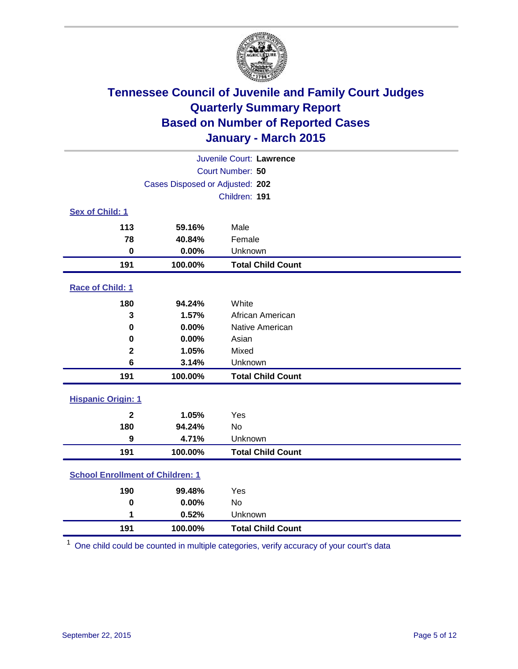

|                           | Juvenile Court: Lawrence                |                          |  |  |  |  |
|---------------------------|-----------------------------------------|--------------------------|--|--|--|--|
| Court Number: 50          |                                         |                          |  |  |  |  |
|                           | Cases Disposed or Adjusted: 202         |                          |  |  |  |  |
|                           |                                         | Children: 191            |  |  |  |  |
| <b>Sex of Child: 1</b>    |                                         |                          |  |  |  |  |
| 113                       | 59.16%                                  | Male                     |  |  |  |  |
| 78                        | 40.84%                                  | Female                   |  |  |  |  |
| $\bf{0}$                  | 0.00%                                   | Unknown                  |  |  |  |  |
| 191                       | 100.00%                                 | <b>Total Child Count</b> |  |  |  |  |
| Race of Child: 1          |                                         |                          |  |  |  |  |
| 180                       | 94.24%                                  | White                    |  |  |  |  |
| 3                         | 1.57%                                   | African American         |  |  |  |  |
| $\bf{0}$                  | 0.00%                                   | Native American          |  |  |  |  |
| 0                         | 0.00%                                   | Asian                    |  |  |  |  |
| $\mathbf 2$               | 1.05%                                   | Mixed                    |  |  |  |  |
| 6                         | 3.14%                                   | Unknown                  |  |  |  |  |
| 191                       | 100.00%                                 | <b>Total Child Count</b> |  |  |  |  |
| <b>Hispanic Origin: 1</b> |                                         |                          |  |  |  |  |
| $\mathbf{2}$              | 1.05%                                   | Yes                      |  |  |  |  |
| 180                       | 94.24%                                  | No                       |  |  |  |  |
| 9                         | 4.71%                                   | Unknown                  |  |  |  |  |
| 191                       | 100.00%                                 | <b>Total Child Count</b> |  |  |  |  |
|                           | <b>School Enrollment of Children: 1</b> |                          |  |  |  |  |
| 190                       | 99.48%                                  | Yes                      |  |  |  |  |
| $\mathbf 0$               | 0.00%                                   | No                       |  |  |  |  |
| 1                         | 0.52%                                   | Unknown                  |  |  |  |  |
| 191                       | 100.00%                                 | <b>Total Child Count</b> |  |  |  |  |

One child could be counted in multiple categories, verify accuracy of your court's data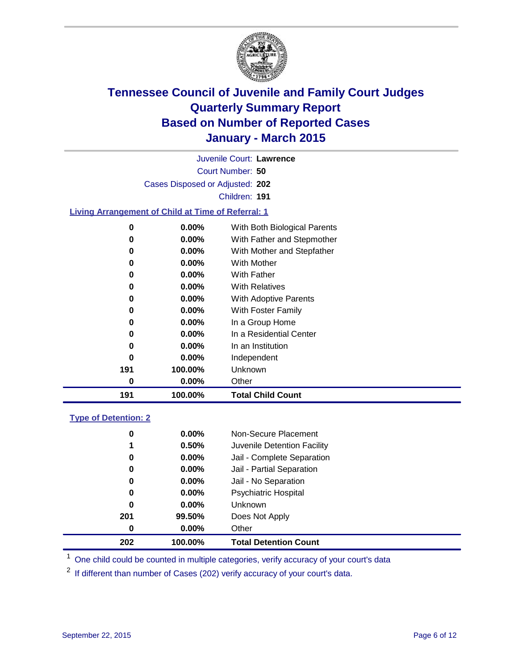

Court Number: **50** Juvenile Court: **Lawrence** Cases Disposed or Adjusted: **202** Children: **191**

### **Living Arrangement of Child at Time of Referral: 1**

| 0   | $0.00\%$ | With Both Biological Parents |
|-----|----------|------------------------------|
| 0   | $0.00\%$ | With Father and Stepmother   |
| 0   | $0.00\%$ | With Mother and Stepfather   |
| 0   | $0.00\%$ | <b>With Mother</b>           |
| 0   | $0.00\%$ | With Father                  |
| 0   | 0.00%    | <b>With Relatives</b>        |
| 0   | 0.00%    | With Adoptive Parents        |
| 0   | $0.00\%$ | With Foster Family           |
| 0   | 0.00%    | In a Group Home              |
| 0   | $0.00\%$ | In a Residential Center      |
| 0   | $0.00\%$ | In an Institution            |
| 0   | $0.00\%$ | Independent                  |
| 191 | 100.00%  | Unknown                      |
| 0   | 0.00%    | Other                        |
| 191 | 100.00%  | <b>Total Child Count</b>     |

#### **Type of Detention: 2**

| 0<br>1<br>0<br>0<br>0<br>0<br>0<br>201 | $0.00\%$<br>0.50%<br>$0.00\%$<br>0.00%<br>$0.00\%$<br>$0.00\%$<br>$0.00\%$<br>99.50% | Non-Secure Placement<br>Juvenile Detention Facility<br>Jail - Complete Separation<br>Jail - Partial Separation<br>Jail - No Separation<br><b>Psychiatric Hospital</b><br><b>Unknown</b><br>Does Not Apply |  |
|----------------------------------------|--------------------------------------------------------------------------------------|-----------------------------------------------------------------------------------------------------------------------------------------------------------------------------------------------------------|--|
| 0                                      | $0.00\%$                                                                             | Other                                                                                                                                                                                                     |  |
| 202                                    | 100.00%                                                                              | <b>Total Detention Count</b>                                                                                                                                                                              |  |

<sup>1</sup> One child could be counted in multiple categories, verify accuracy of your court's data

If different than number of Cases (202) verify accuracy of your court's data.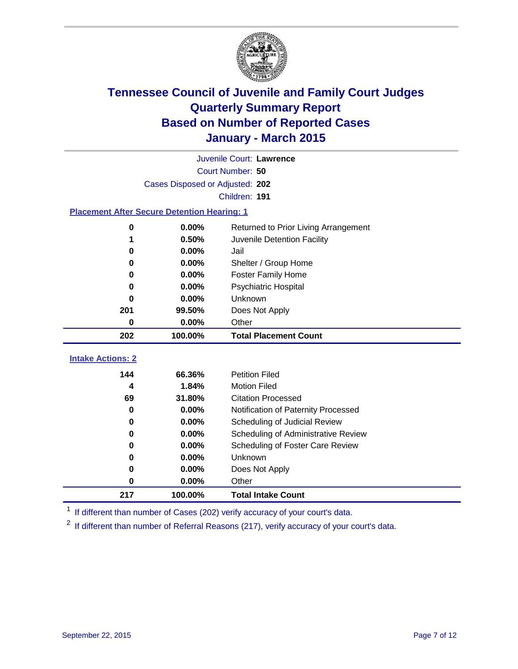

|                                                    | Juvenile Court: Lawrence        |                                      |  |  |  |  |
|----------------------------------------------------|---------------------------------|--------------------------------------|--|--|--|--|
|                                                    | Court Number: 50                |                                      |  |  |  |  |
|                                                    | Cases Disposed or Adjusted: 202 |                                      |  |  |  |  |
|                                                    |                                 | Children: 191                        |  |  |  |  |
| <b>Placement After Secure Detention Hearing: 1</b> |                                 |                                      |  |  |  |  |
| 0                                                  | 0.00%                           | Returned to Prior Living Arrangement |  |  |  |  |
| 1                                                  | 0.50%                           | Juvenile Detention Facility          |  |  |  |  |
| 0                                                  | 0.00%                           | Jail                                 |  |  |  |  |
| 0                                                  | 0.00%                           | Shelter / Group Home                 |  |  |  |  |
| 0                                                  | 0.00%                           | <b>Foster Family Home</b>            |  |  |  |  |
| 0                                                  | 0.00%                           | <b>Psychiatric Hospital</b>          |  |  |  |  |
| 0                                                  | 0.00%                           | Unknown                              |  |  |  |  |
| 201                                                | 99.50%                          | Does Not Apply                       |  |  |  |  |
| 0                                                  | 0.00%                           | Other                                |  |  |  |  |
| 202                                                | 100.00%                         | <b>Total Placement Count</b>         |  |  |  |  |
|                                                    |                                 |                                      |  |  |  |  |
| <b>Intake Actions: 2</b>                           |                                 |                                      |  |  |  |  |
| 144                                                | 66.36%                          | <b>Petition Filed</b>                |  |  |  |  |
| 4                                                  | 1.84%                           | <b>Motion Filed</b>                  |  |  |  |  |
| 69                                                 | 31.80%                          | <b>Citation Processed</b>            |  |  |  |  |
| 0                                                  | 0.00%                           | Notification of Paternity Processed  |  |  |  |  |
| 0                                                  | 0.00%                           | Scheduling of Judicial Review        |  |  |  |  |
| 0                                                  | 0.00%                           | Scheduling of Administrative Review  |  |  |  |  |
| 0                                                  | 0.00%                           | Scheduling of Foster Care Review     |  |  |  |  |
| 0                                                  | 0.00%                           | Unknown                              |  |  |  |  |
| 0                                                  | 0.00%                           | Does Not Apply                       |  |  |  |  |
| 0                                                  | 0.00%                           | Other                                |  |  |  |  |
| 217                                                | 100.00%                         | <b>Total Intake Count</b>            |  |  |  |  |

<sup>1</sup> If different than number of Cases (202) verify accuracy of your court's data.

If different than number of Referral Reasons (217), verify accuracy of your court's data.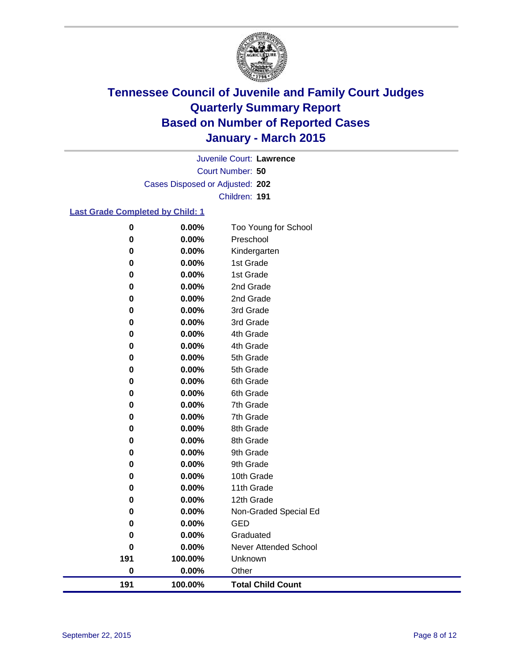

Court Number: **50** Juvenile Court: **Lawrence** Cases Disposed or Adjusted: **202** Children: **191**

### **Last Grade Completed by Child: 1**

| $\bf{0}$    | 0.00%   | Too Young for School         |
|-------------|---------|------------------------------|
| $\bf{0}$    | 0.00%   | Preschool                    |
| 0           | 0.00%   | Kindergarten                 |
| $\pmb{0}$   | 0.00%   | 1st Grade                    |
| 0           | 0.00%   | 1st Grade                    |
| 0           | 0.00%   | 2nd Grade                    |
| 0           | 0.00%   | 2nd Grade                    |
| 0           | 0.00%   | 3rd Grade                    |
| 0           | 0.00%   | 3rd Grade                    |
| 0           | 0.00%   | 4th Grade                    |
| 0           | 0.00%   | 4th Grade                    |
| $\bf{0}$    | 0.00%   | 5th Grade                    |
| $\bf{0}$    | 0.00%   | 5th Grade                    |
| 0           | 0.00%   | 6th Grade                    |
| $\bf{0}$    | 0.00%   | 6th Grade                    |
| 0           | 0.00%   | 7th Grade                    |
| 0           | 0.00%   | 7th Grade                    |
| $\pmb{0}$   | 0.00%   | 8th Grade                    |
| 0           | 0.00%   | 8th Grade                    |
| 0           | 0.00%   | 9th Grade                    |
| 0           | 0.00%   | 9th Grade                    |
| 0           | 0.00%   | 10th Grade                   |
| 0           | 0.00%   | 11th Grade                   |
| 0           | 0.00%   | 12th Grade                   |
| 0           | 0.00%   | Non-Graded Special Ed        |
| 0           | 0.00%   | <b>GED</b>                   |
| 0           | 0.00%   | Graduated                    |
| $\mathbf 0$ | 0.00%   | <b>Never Attended School</b> |
| 191         | 100.00% | Unknown                      |
| $\bf{0}$    | 0.00%   | Other                        |
| 191         | 100.00% | <b>Total Child Count</b>     |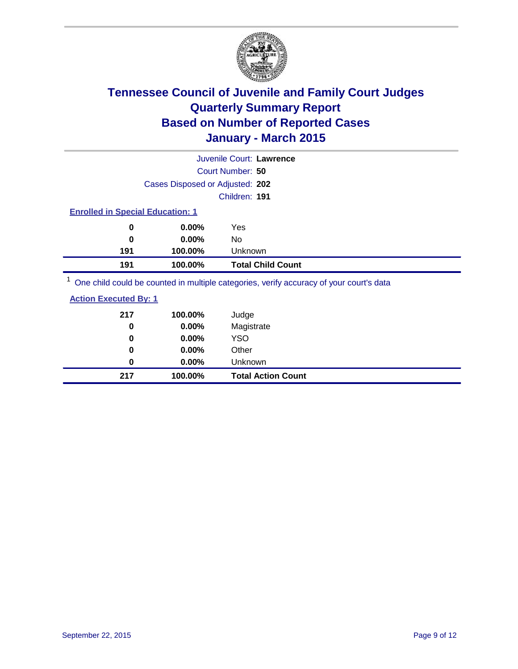

| Juvenile Court: Lawrence |                                         |                                                                                        |  |  |  |
|--------------------------|-----------------------------------------|----------------------------------------------------------------------------------------|--|--|--|
|                          |                                         | Court Number: 50                                                                       |  |  |  |
|                          | Cases Disposed or Adjusted: 202         |                                                                                        |  |  |  |
|                          |                                         | Children: 191                                                                          |  |  |  |
|                          | <b>Enrolled in Special Education: 1</b> |                                                                                        |  |  |  |
| 0                        | $0.00\%$                                | Yes                                                                                    |  |  |  |
| 0                        | $0.00\%$                                | No                                                                                     |  |  |  |
| 191                      | 100.00%                                 | Unknown                                                                                |  |  |  |
| 191                      | 100.00%                                 | <b>Total Child Count</b>                                                               |  |  |  |
|                          |                                         | One objet could be counted in multiple estegation verify accuracy of your courtie data |  |  |  |

<sup>1</sup> One child could be counted in multiple categories, verify accuracy of your court's data

| <b>Action Executed By: 1</b> |
|------------------------------|
|------------------------------|

| 217 | 100.00%  | Judge                     |
|-----|----------|---------------------------|
| 0   | 0.00%    | Magistrate                |
| 0   | $0.00\%$ | <b>YSO</b>                |
| 0   | $0.00\%$ | Other                     |
| 0   | $0.00\%$ | Unknown                   |
| 217 | 100.00%  | <b>Total Action Count</b> |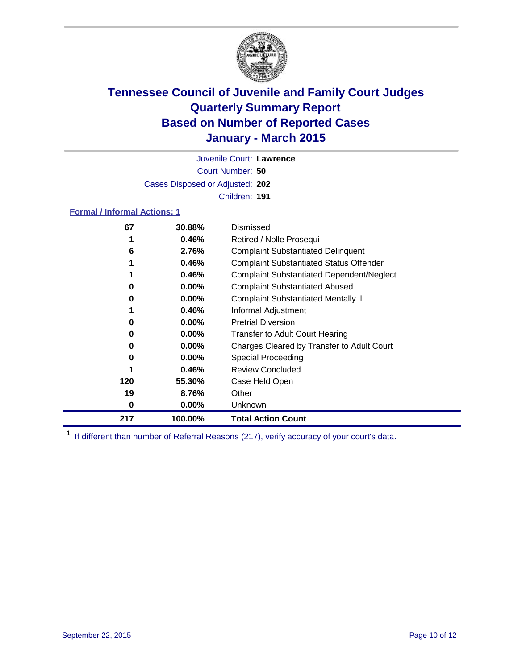

Court Number: **50** Juvenile Court: **Lawrence** Cases Disposed or Adjusted: **202** Children: **191**

### **Formal / Informal Actions: 1**

| 67  | 30.88%   | Dismissed                                        |
|-----|----------|--------------------------------------------------|
|     | 0.46%    | Retired / Nolle Prosequi                         |
| 6   | 2.76%    | <b>Complaint Substantiated Delinquent</b>        |
|     | 0.46%    | <b>Complaint Substantiated Status Offender</b>   |
|     | 0.46%    | <b>Complaint Substantiated Dependent/Neglect</b> |
| 0   | $0.00\%$ | <b>Complaint Substantiated Abused</b>            |
| 0   | $0.00\%$ | <b>Complaint Substantiated Mentally III</b>      |
|     | 0.46%    | Informal Adjustment                              |
| 0   | $0.00\%$ | <b>Pretrial Diversion</b>                        |
| 0   | $0.00\%$ | <b>Transfer to Adult Court Hearing</b>           |
| 0   | $0.00\%$ | Charges Cleared by Transfer to Adult Court       |
| 0   | $0.00\%$ | Special Proceeding                               |
|     | 0.46%    | <b>Review Concluded</b>                          |
| 120 | 55.30%   | Case Held Open                                   |
| 19  | 8.76%    | Other                                            |
| 0   | $0.00\%$ | Unknown                                          |
| 217 | 100.00%  | <b>Total Action Count</b>                        |

<sup>1</sup> If different than number of Referral Reasons (217), verify accuracy of your court's data.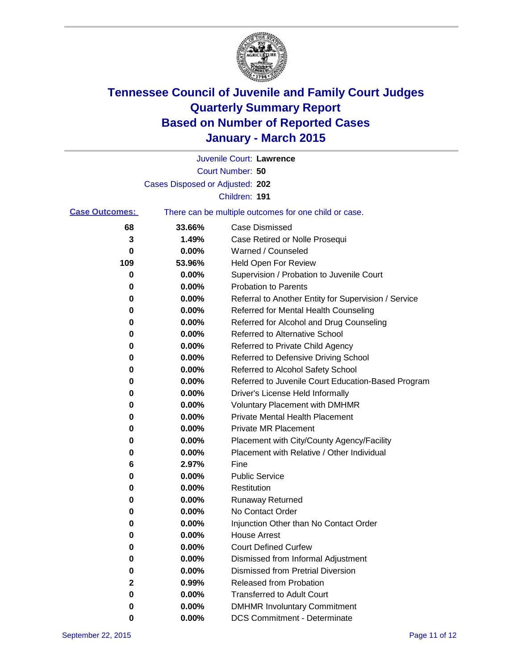

|                       |                                 | Juvenile Court: Lawrence                              |
|-----------------------|---------------------------------|-------------------------------------------------------|
|                       |                                 | Court Number: 50                                      |
|                       | Cases Disposed or Adjusted: 202 |                                                       |
|                       |                                 | Children: 191                                         |
| <b>Case Outcomes:</b> |                                 | There can be multiple outcomes for one child or case. |
| 68                    | 33.66%                          | <b>Case Dismissed</b>                                 |
| 3                     | 1.49%                           | Case Retired or Nolle Prosequi                        |
| 0                     | 0.00%                           | Warned / Counseled                                    |
| 109                   | 53.96%                          | Held Open For Review                                  |
| 0                     | 0.00%                           | Supervision / Probation to Juvenile Court             |
| 0                     | 0.00%                           | <b>Probation to Parents</b>                           |
| 0                     | 0.00%                           | Referral to Another Entity for Supervision / Service  |
| 0                     | 0.00%                           | Referred for Mental Health Counseling                 |
| 0                     | 0.00%                           | Referred for Alcohol and Drug Counseling              |
| 0                     | 0.00%                           | <b>Referred to Alternative School</b>                 |
| 0                     | 0.00%                           | Referred to Private Child Agency                      |
| 0                     | 0.00%                           | Referred to Defensive Driving School                  |
| 0                     | 0.00%                           | Referred to Alcohol Safety School                     |
| 0                     | 0.00%                           | Referred to Juvenile Court Education-Based Program    |
| 0                     | 0.00%                           | Driver's License Held Informally                      |
| 0                     | 0.00%                           | <b>Voluntary Placement with DMHMR</b>                 |
| 0                     | 0.00%                           | <b>Private Mental Health Placement</b>                |
| 0                     | 0.00%                           | Private MR Placement                                  |
| 0                     | 0.00%                           | Placement with City/County Agency/Facility            |
| 0                     | 0.00%                           | Placement with Relative / Other Individual            |
| 6                     | 2.97%                           | Fine                                                  |
| 0                     | 0.00%                           | <b>Public Service</b>                                 |
| 0                     | 0.00%                           | Restitution                                           |
| 0                     | 0.00%                           | <b>Runaway Returned</b>                               |
| 0                     | 0.00%                           | No Contact Order                                      |
| 0                     | 0.00%                           | Injunction Other than No Contact Order                |
| 0                     | 0.00%                           | <b>House Arrest</b>                                   |
| 0                     | 0.00%                           | <b>Court Defined Curfew</b>                           |
| 0                     | 0.00%                           | Dismissed from Informal Adjustment                    |
| 0                     | 0.00%                           | <b>Dismissed from Pretrial Diversion</b>              |
| 2                     | 0.99%                           | Released from Probation                               |
| 0                     | 0.00%                           | <b>Transferred to Adult Court</b>                     |
| 0                     | 0.00%                           | <b>DMHMR Involuntary Commitment</b>                   |
| 0                     | $0.00\%$                        | <b>DCS Commitment - Determinate</b>                   |